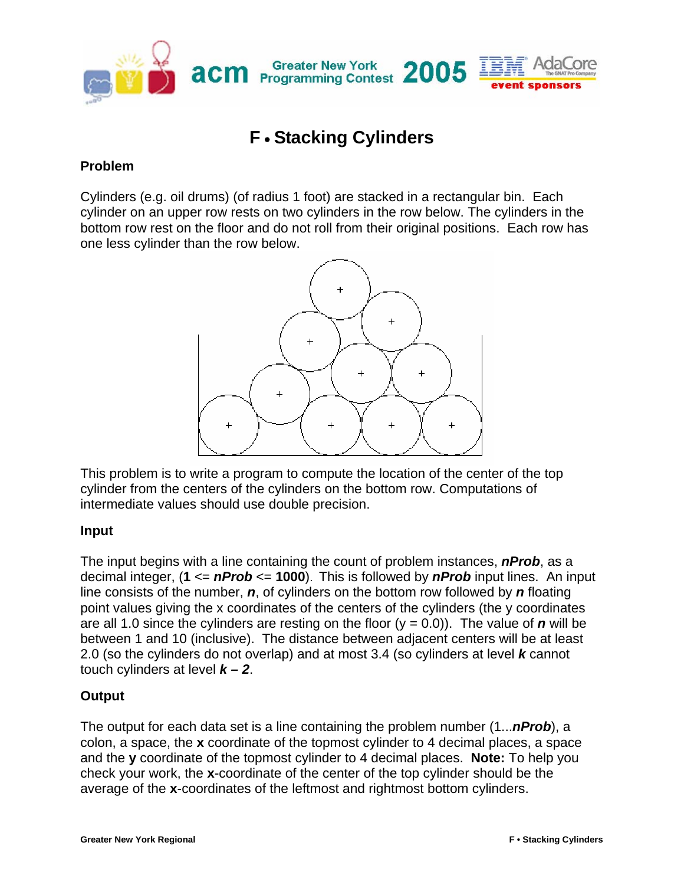

## **F** • **Stacking Cylinders**

## **Problem**

Cylinders (e.g. oil drums) (of radius 1 foot) are stacked in a rectangular bin. Each cylinder on an upper row rests on two cylinders in the row below. The cylinders in the bottom row rest on the floor and do not roll from their original positions. Each row has one less cylinder than the row below.



This problem is to write a program to compute the location of the center of the top cylinder from the centers of the cylinders on the bottom row. Computations of intermediate values should use double precision.

## **Input**

The input begins with a line containing the count of problem instances, *nProb*, as a decimal integer, (**1** <= *nProb* <= **1000**). This is followed by *nProb* input lines. An input line consists of the number, *n*, of cylinders on the bottom row followed by *n* floating point values giving the x coordinates of the centers of the cylinders (the y coordinates are all 1.0 since the cylinders are resting on the floor  $(y = 0.0)$ ). The value of *n* will be between 1 and 10 (inclusive). The distance between adjacent centers will be at least 2.0 (so the cylinders do not overlap) and at most 3.4 (so cylinders at level *k* cannot touch cylinders at level *k – 2*.

## **Output**

The output for each data set is a line containing the problem number (1...*nProb*), a colon, a space, the **x** coordinate of the topmost cylinder to 4 decimal places, a space and the **y** coordinate of the topmost cylinder to 4 decimal places. **Note:** To help you check your work, the **x**-coordinate of the center of the top cylinder should be the average of the **x**-coordinates of the leftmost and rightmost bottom cylinders.